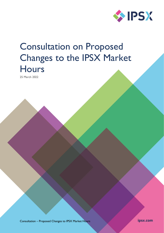

# Consultation on Proposed Changes to the IPSX Market **Hours**

25 March 2022

Consultation – Proposed Changes to IPSX Market Hours

ipsx.com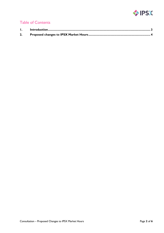

# Table of Contents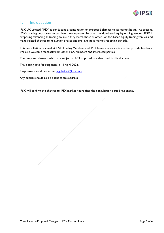

# <span id="page-2-0"></span>1. Introduction

IPSX UK Limited (IPSX) is conducting a consultation on proposed changes to its market hours. At present, IPSX's trading hours are shorter than those operated by other London-based equity trading venues. IPSX is proposing extending its trading hours so they match those of other London-based equity trading venues, and make related changes to its auction phases and pre- and post-market reporting periods.

This consultation is aimed at IPSX Trading Members and IPSX Issuers, who are invited to provide feedback. We also welcome feedback from other IPSX Members and interested parties.

The proposed changes, which are subject to FCA approval, are described in this document.

The closing date for responses is 11 April 2022.

Responses should be sent to [regulation@ipsx.com](mailto:regulation@ipsx.com)

Any queries should also be sent to this address.

IPSX will confirm the changes to IPSX market hours after the consultation period has ended.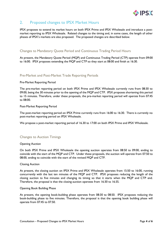

# <span id="page-3-0"></span>2. Proposed changes to IPSX Market Hours

IPSX proposes to extend its market hours on both IPSX Prime and IPSX Wholesale and introduce a postmarket reporting to IPSX Wholesale. Related changes to the timing and, in some cases, the length of other phases of IPSX's markets are also proposed. The proposed changes are described below.

# Changes to Mandatory Quote Period and Continuous Trading Period Hours

At present, the Mandatory Quote Period (MQP) and Continuous Trading Period (CTP) operate from 09:00 to 16:00. IPSX proposes extending the MQP and CTP so they start at 08:00 and finish at 16:30.

# Pre-Market and Post-Market Trade Reporting Periods

## Pre-Market Reporting Period

The pre-market reporting period on both IPSX Prime and IPSX Wholesale currently runs from 08:30 to 09:00, being the 30 minutes prior to the opening of the MQP and CTP. IPSX proposes shortening this period to 15 minutes. Therefore, under these proposals, the pre-market reporting period will operate from 07:45 to 08:00.

## Post-Market Reporting Period

The post-market reporting period on IPSX Prime currently runs from 16:00 to 16:30. There is currently no post-market reporting period on IPSX Wholesale.

We propose a post-market reporting period of 16.30 to 17:00 on both IPSX Prime and IPSX Wholesale.

# Changes to Auction Timings

# Opening Auction

On both IPSX Prime and IPSX Wholesale the opening auction operates from 08:50 to 09:00, ending to coincide with the start of the MQP and CTP. Under these proposals, the auction will operate from 07:50 to 08:00, ending to coincide with the start of the revised MQP and CTP.

## Closing Auction

At present, the closing auction on IPSX Prime and IPSX Wholesale operates from 15:50 to 16:00, running concurrently with the last ten minutes of the MQP and CTP. IPSX proposes reducing the length of the closing auction to five minutes and changing its timing so that it starts when the MQP and CTP end. Therefore, the proposal is that the closing auction operates from 16:30 to 16:35.

## Opening Book Building Phase

At present, the opening book-building phase operates from 08:30 to 08:50. IPSX proposes reducing the book-building phase to five minutes. Therefore, the proposal is that the opening book building phase will operate from 07:45 to 07:50.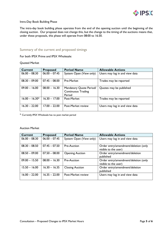

#### Intra-Day Book Building Phase

The intra-day book building phase operates from the end of the opening auction until the beginning of the closing auction. Our proposal does not change this, but the change to the timing of the auctions means that, under these proposals, this phase will operate from 08:00 to 16:30.

# Summary of the current and proposed timings

For both IPSX Prime and IPSX Wholesale:

Quoted Market

| <b>Current</b>   | <b>Proposed</b> | <b>Period Name</b>                                             | <b>Allowable Actions</b>       |
|------------------|-----------------|----------------------------------------------------------------|--------------------------------|
| $06.00 - 08.30$  | $06.00 - 07.45$ | System Open (View only)                                        | Users may log in and view data |
| $08.30 - 09.00$  | $07.45 - 08.00$ | Pre-Market                                                     | Trades may be reported         |
| $09.00 - 16.00$  | $08.00 - 16.30$ | Mandatory Quote Period/<br><b>Continuous Trading</b><br>Period | Quotes may be published        |
| $16.00 - 16.30*$ | $16.30 - 17.00$ | Post-Market                                                    | Trades may be reported         |
| $16.30 - 22.00$  | $17.00 - 22.00$ | Post-Market review                                             | Users may log in and view data |

\* Currently IPSX Wholesale has no post market period

#### Auction Market

| <b>Current</b>  | <b>Proposed</b> | <b>Period Name</b>      | <b>Allowable Actions</b>                                     |
|-----------------|-----------------|-------------------------|--------------------------------------------------------------|
| $06.00 - 08.30$ | $06.00 - 07.45$ | System Open (View only) | Users may log in and view data                               |
| $08.30 - 08.50$ | $07.45 - 07.50$ | Pre-Auction             | Order entry/amendment/deletion (only<br>visible to the user) |
| $08.50 - 09.00$ | $07.50 - 08.00$ | <b>Opening Auction</b>  | Order entry/amendment/deletion<br>published                  |
| $09.00 - 15.50$ | $08.00 - 16.30$ | Pre-Auction             | Order entry/amendment/deletion (only<br>visible to the user) |
| $15.50 - 16.00$ | $16.30 - 16.35$ | <b>Closing Auction</b>  | Order entry/amendment/deletion<br>published                  |
| $16.00 - 22.00$ | $16.35 - 22.00$ | Post-Market review      | Users may log in and view data                               |